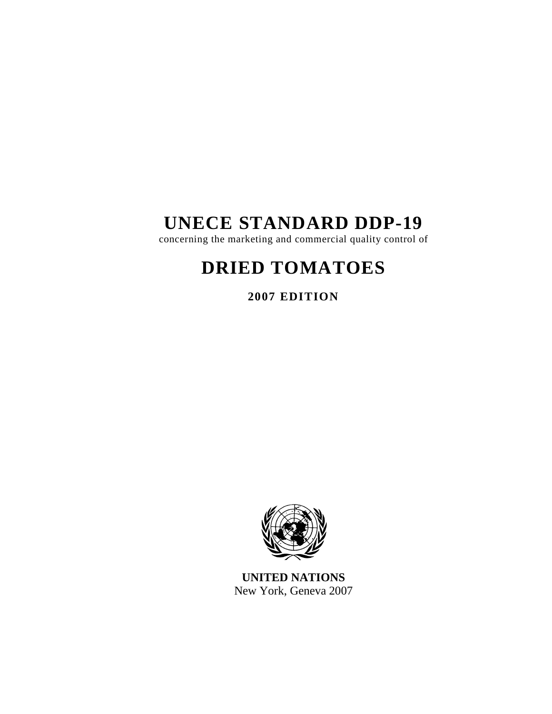# **UNECE STANDARD DDP-19**

concerning the marketing and commercial quality control of

# **DRIED TOMATOES**

**2007 EDITION** 



**UNITED NATIONS**  New York, Geneva 2007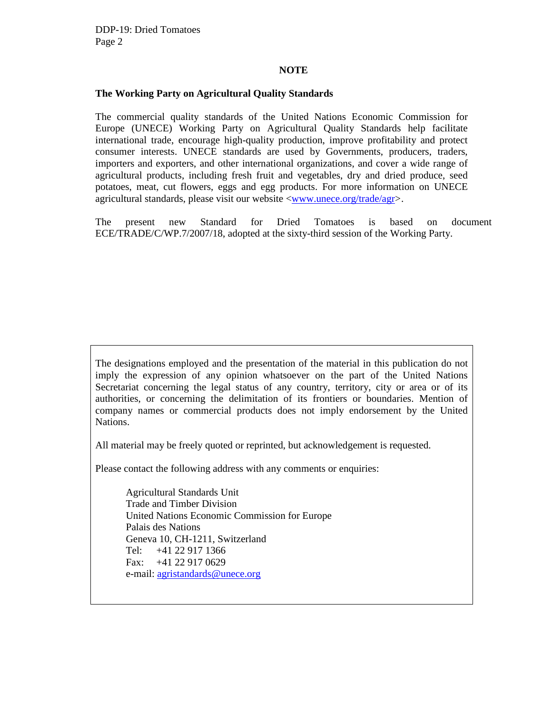#### **NOTE**

#### **The Working Party on Agricultural Quality Standards**

The commercial quality standards of the United Nations Economic Commission for Europe (UNECE) Working Party on Agricultural Quality Standards help facilitate international trade, encourage high-quality production, improve profitability and protect consumer interests. UNECE standards are used by Governments, producers, traders, importers and exporters, and other international organizations, and cover a wide range of agricultural products, including fresh fruit and vegetables, dry and dried produce, seed potatoes, meat, cut flowers, eggs and egg products. For more information on UNECE agricultural standards, please visit our website <www.unece.org/trade/agr>.

The present new Standard for Dried Tomatoes is based on document ECE/TRADE/C/WP.7/2007/18, adopted at the sixty-third session of the Working Party.

The designations employed and the presentation of the material in this publication do not imply the expression of any opinion whatsoever on the part of the United Nations Secretariat concerning the legal status of any country, territory, city or area or of its authorities, or concerning the delimitation of its frontiers or boundaries. Mention of company names or commercial products does not imply endorsement by the United Nations.

All material may be freely quoted or reprinted, but acknowledgement is requested.

Please contact the following address with any comments or enquiries:

Agricultural Standards Unit Trade and Timber Division United Nations Economic Commission for Europe Palais des Nations Geneva 10, CH-1211, Switzerland Tel: +41 22 917 1366 Fax: +41 22 917 0629 e-mail: agristandards@unece.org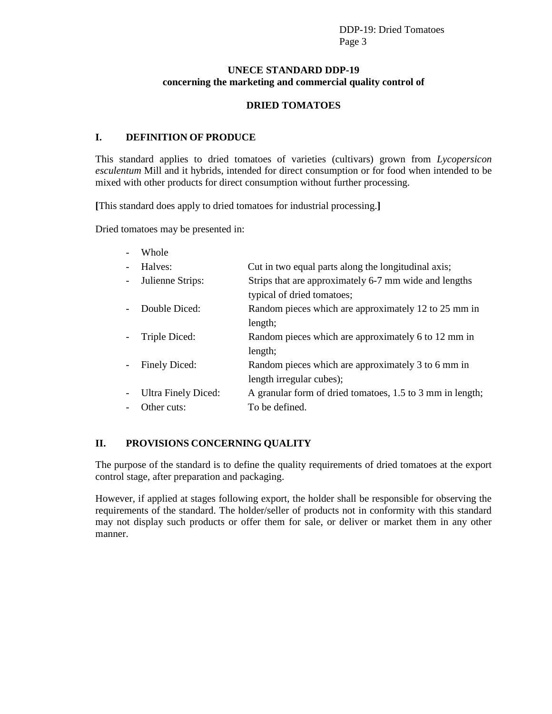## **UNECE STANDARD DDP-19 concerning the marketing and commercial quality control of**

#### **DRIED TOMATOES**

#### **I. DEFINITION OF PRODUCE**

This standard applies to dried tomatoes of varieties (cultivars) grown from *Lycopersicon esculentum* Mill and it hybrids, intended for direct consumption or for food when intended to be mixed with other products for direct consumption without further processing.

**[**This standard does apply to dried tomatoes for industrial processing.**]**

Dried tomatoes may be presented in:

| Whole               |                                                           |
|---------------------|-----------------------------------------------------------|
| Halves:             | Cut in two equal parts along the longitudinal axis;       |
| Julienne Strips:    | Strips that are approximately 6-7 mm wide and lengths     |
|                     | typical of dried tomatoes;                                |
| Double Diced:       | Random pieces which are approximately 12 to 25 mm in      |
|                     | length;                                                   |
| Triple Diced:       | Random pieces which are approximately 6 to 12 mm in       |
|                     | length;                                                   |
| Finely Diced:       | Random pieces which are approximately 3 to 6 mm in        |
|                     | length irregular cubes);                                  |
| Ultra Finely Diced: | A granular form of dried tomatoes, 1.5 to 3 mm in length; |
| Other cuts:         | To be defined.                                            |

## **II. PROVISIONS CONCERNING QUALITY**

The purpose of the standard is to define the quality requirements of dried tomatoes at the export control stage, after preparation and packaging.

However, if applied at stages following export, the holder shall be responsible for observing the requirements of the standard. The holder/seller of products not in conformity with this standard may not display such products or offer them for sale, or deliver or market them in any other manner.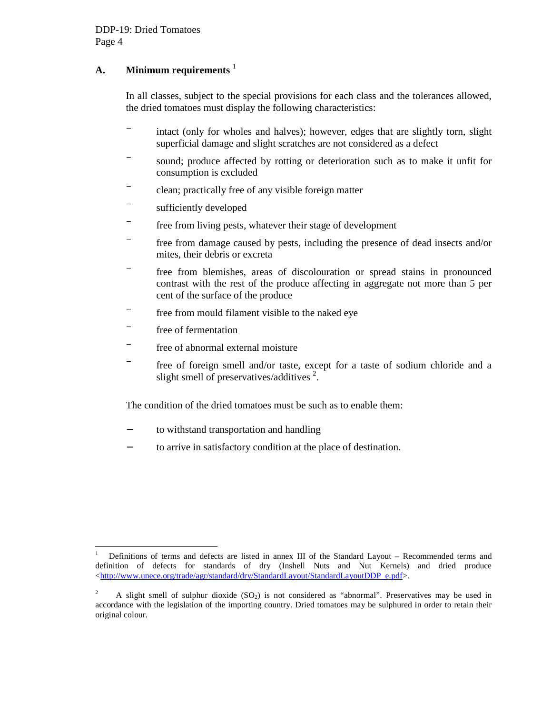## **A. Minimum requirements** <sup>1</sup>

In all classes, subject to the special provisions for each class and the tolerances allowed, the dried tomatoes must display the following characteristics:

- − intact (only for wholes and halves); however, edges that are slightly torn, slight superficial damage and slight scratches are not considered as a defect
- − sound; produce affected by rotting or deterioration such as to make it unfit for consumption is excluded
- − clean; practically free of any visible foreign matter
- − sufficiently developed
- − free from living pests, whatever their stage of development
- − free from damage caused by pests, including the presence of dead insects and/or mites, their debris or excreta
- − free from blemishes, areas of discolouration or spread stains in pronounced contrast with the rest of the produce affecting in aggregate not more than 5 per cent of the surface of the produce
- − free from mould filament visible to the naked eye
- − free of fermentation
- − free of abnormal external moisture
- − free of foreign smell and/or taste, except for a taste of sodium chloride and a slight smell of preservatives/additives $^2$ .

The condition of the dried tomatoes must be such as to enable them:

- − to withstand transportation and handling
- to arrive in satisfactory condition at the place of destination.

<sup>|&</sup>lt;br>|<br>| Definitions of terms and defects are listed in annex III of the Standard Layout – Recommended terms and definition of defects for standards of dry (Inshell Nuts and Nut Kernels) and dried produce <http://www.unece.org/trade/agr/standard/dry/StandardLayout/StandardLayoutDDP\_e.pdf>.

<sup>&</sup>lt;sup>2</sup> A slight smell of sulphur dioxide (SO<sub>2</sub>) is not considered as "abnormal". Preservatives may be used in accordance with the legislation of the importing country. Dried tomatoes may be sulphured in order to retain their original colour.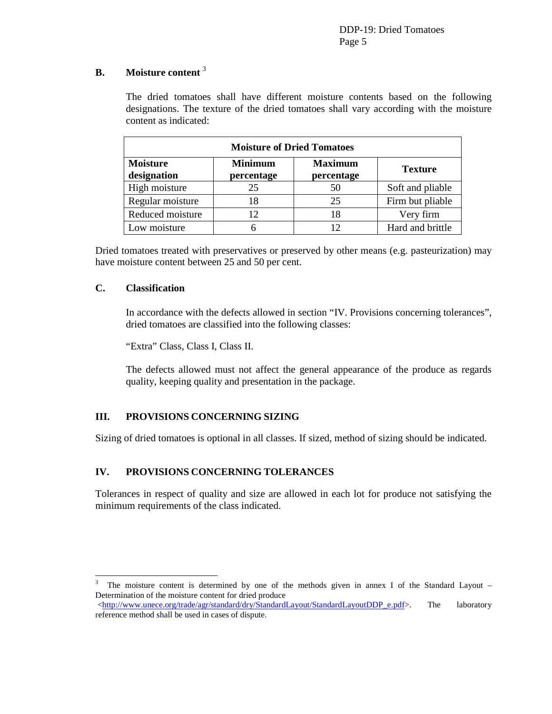## **B. Moisture content** <sup>3</sup>

The dried tomatoes shall have different moisture contents based on the following designations. The texture of the dried tomatoes shall vary according with the moisture content as indicated:

| <b>Moisture of Dried Tomatoes</b> |                              |                              |                  |  |  |  |  |  |
|-----------------------------------|------------------------------|------------------------------|------------------|--|--|--|--|--|
| <b>Moisture</b><br>designation    | <b>Minimum</b><br>percentage | <b>Maximum</b><br>percentage | <b>Texture</b>   |  |  |  |  |  |
| High moisture                     | 25                           | 50                           | Soft and pliable |  |  |  |  |  |
| Regular moisture                  | 18                           | 25                           | Firm but pliable |  |  |  |  |  |
| Reduced moisture                  | 12                           | 18                           | Very firm        |  |  |  |  |  |
| Low moisture                      |                              | 12                           | Hard and brittle |  |  |  |  |  |

Dried tomatoes treated with preservatives or preserved by other means (e.g. pasteurization) may have moisture content between 25 and 50 per cent.

#### **C. Classification**

 $\overline{a}$ 

In accordance with the defects allowed in section "IV. Provisions concerning tolerances", dried tomatoes are classified into the following classes:

"Extra" Class, Class I, Class II.

The defects allowed must not affect the general appearance of the produce as regards quality, keeping quality and presentation in the package.

## **III. PROVISIONS CONCERNING SIZING**

Sizing of dried tomatoes is optional in all classes. If sized, method of sizing should be indicated.

#### **IV. PROVISIONS CONCERNING TOLERANCES**

Tolerances in respect of quality and size are allowed in each lot for produce not satisfying the minimum requirements of the class indicated.

<sup>3</sup> The moisture content is determined by one of the methods given in annex I of the Standard Layout – Determination of the moisture content for dried produce

<sup>&</sup>lt;http://www.unece.org/trade/agr/standard/dry/StandardLayout/StandardLayoutDDP\_e.pdf>. The laboratory reference method shall be used in cases of dispute.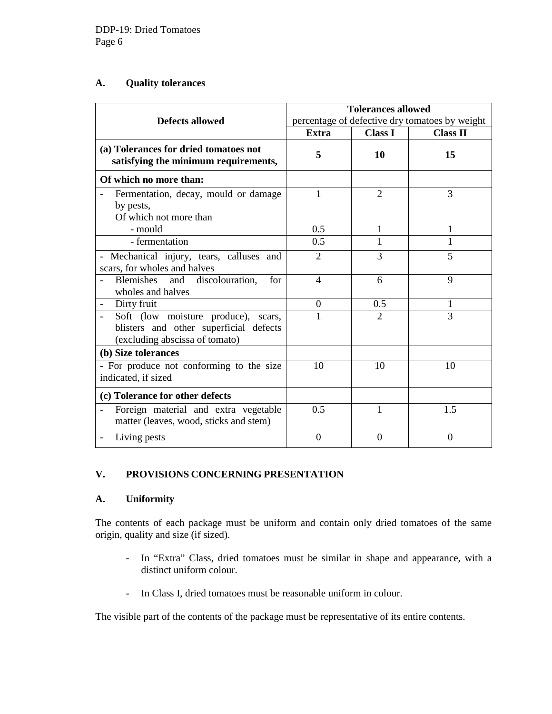#### **A. Quality tolerances**

|                                                                                                                 | <b>Tolerances allowed</b>                      |                |                 |
|-----------------------------------------------------------------------------------------------------------------|------------------------------------------------|----------------|-----------------|
| <b>Defects allowed</b>                                                                                          | percentage of defective dry tomatoes by weight |                |                 |
|                                                                                                                 | Extra                                          | <b>Class I</b> | <b>Class II</b> |
| (a) Tolerances for dried tomatoes not<br>satisfying the minimum requirements,                                   | 5                                              | 10             | 15              |
| Of which no more than:                                                                                          |                                                |                |                 |
| Fermentation, decay, mould or damage<br>by pests,<br>Of which not more than                                     | $\mathbf{1}$                                   | $\overline{2}$ | 3               |
| - mould                                                                                                         | 0.5                                            | 1              | 1               |
| - fermentation                                                                                                  | 0.5                                            | 1              |                 |
| - Mechanical injury, tears, calluses and<br>scars, for wholes and halves                                        | $\overline{2}$                                 | 3              | 5               |
| Blemishes and discolouration,<br>for<br>wholes and halves                                                       | $\overline{4}$                                 | 6              | $\mathbf Q$     |
| Dirty fruit                                                                                                     | $\theta$                                       | 0.5            |                 |
| Soft (low moisture produce), scars,<br>blisters and other superficial defects<br>(excluding abscissa of tomato) | 1                                              | $\overline{2}$ | 3               |
| (b) Size tolerances                                                                                             |                                                |                |                 |
| - For produce not conforming to the size<br>indicated, if sized                                                 | 10                                             | 10             | 10              |
| (c) Tolerance for other defects                                                                                 |                                                |                |                 |
| Foreign material and extra vegetable<br>matter (leaves, wood, sticks and stem)                                  | 0.5                                            | 1              | 1.5             |
| Living pests                                                                                                    | $\theta$                                       | $\Omega$       | $\Omega$        |

## **V. PROVISIONS CONCERNING PRESENTATION**

# **A. Uniformity**

The contents of each package must be uniform and contain only dried tomatoes of the same origin, quality and size (if sized).

- In "Extra" Class, dried tomatoes must be similar in shape and appearance, with a distinct uniform colour.
- In Class I, dried tomatoes must be reasonable uniform in colour.

The visible part of the contents of the package must be representative of its entire contents.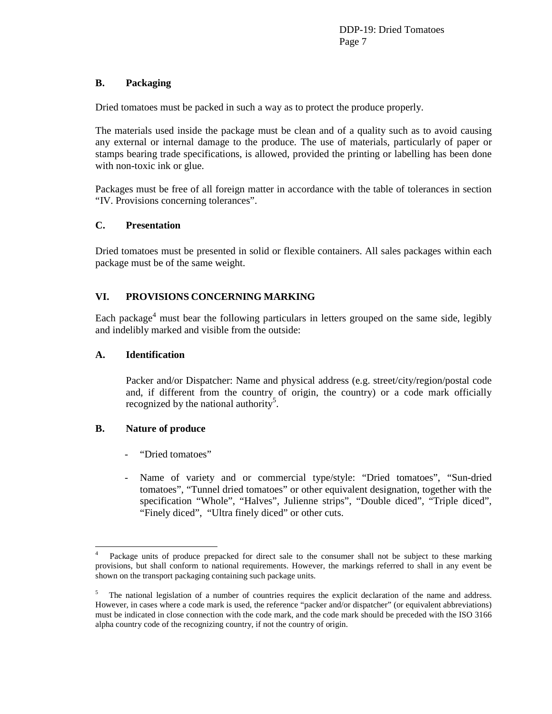DDP-19: Dried Tomatoes Page 7

#### **B. Packaging**

Dried tomatoes must be packed in such a way as to protect the produce properly.

The materials used inside the package must be clean and of a quality such as to avoid causing any external or internal damage to the produce. The use of materials, particularly of paper or stamps bearing trade specifications, is allowed, provided the printing or labelling has been done with non-toxic ink or glue.

Packages must be free of all foreign matter in accordance with the table of tolerances in section "IV. Provisions concerning tolerances".

#### **C. Presentation**

Dried tomatoes must be presented in solid or flexible containers. All sales packages within each package must be of the same weight.

#### **VI. PROVISIONS CONCERNING MARKING**

Each package<sup>4</sup> must bear the following particulars in letters grouped on the same side, legibly and indelibly marked and visible from the outside:

#### **A. Identification**

Packer and/or Dispatcher: Name and physical address (e.g. street/city/region/postal code and, if different from the country of origin, the country) or a code mark officially recognized by the national authority<sup>5</sup>.

#### **B. Nature of produce**

 $\overline{a}$ 

- "Dried tomatoes"
- Name of variety and or commercial type/style: "Dried tomatoes", "Sun-dried tomatoes", "Tunnel dried tomatoes" or other equivalent designation, together with the specification "Whole", "Halves", Julienne strips", "Double diced", "Triple diced", "Finely diced", "Ultra finely diced" or other cuts.

<sup>4</sup> Package units of produce prepacked for direct sale to the consumer shall not be subject to these marking provisions, but shall conform to national requirements. However, the markings referred to shall in any event be shown on the transport packaging containing such package units.

<sup>5</sup> The national legislation of a number of countries requires the explicit declaration of the name and address. However, in cases where a code mark is used, the reference "packer and/or dispatcher" (or equivalent abbreviations) must be indicated in close connection with the code mark, and the code mark should be preceded with the ISO 3166 alpha country code of the recognizing country, if not the country of origin.